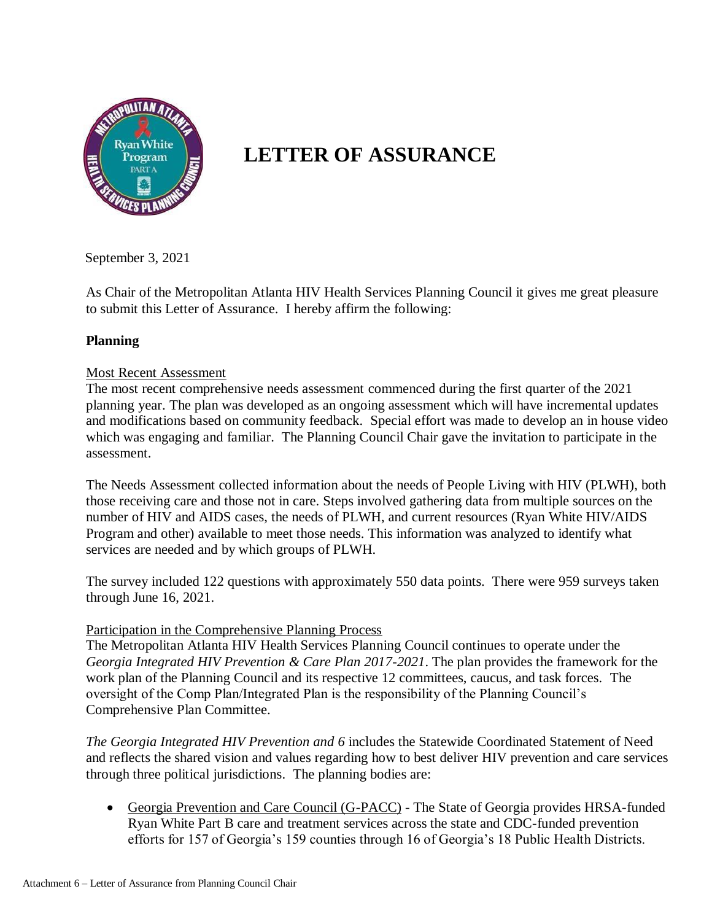

# **LETTER OF ASSURANCE**

September 3, 2021

As Chair of the Metropolitan Atlanta HIV Health Services Planning Council it gives me great pleasure to submit this Letter of Assurance. I hereby affirm the following:

## **Planning**

#### Most Recent Assessment

The most recent comprehensive needs assessment commenced during the first quarter of the 2021 planning year. The plan was developed as an ongoing assessment which will have incremental updates and modifications based on community feedback. Special effort was made to develop an in house video which was engaging and familiar. The Planning Council Chair gave the invitation to participate in the assessment.

The Needs Assessment collected information about the needs of People Living with HIV (PLWH), both those receiving care and those not in care. Steps involved gathering data from multiple sources on the number of HIV and AIDS cases, the needs of PLWH, and current resources (Ryan White HIV/AIDS Program and other) available to meet those needs. This information was analyzed to identify what services are needed and by which groups of PLWH.

The survey included 122 questions with approximately 550 data points. There were 959 surveys taken through June 16, 2021.

#### Participation in the Comprehensive Planning Process

The Metropolitan Atlanta HIV Health Services Planning Council continues to operate under the *Georgia Integrated HIV Prevention & Care Plan 2017-2021*. The plan provides the framework for the work plan of the Planning Council and its respective 12 committees, caucus, and task forces. The oversight of the Comp Plan/Integrated Plan is the responsibility of the Planning Council's Comprehensive Plan Committee.

*The Georgia Integrated HIV Prevention and 6* includes the Statewide Coordinated Statement of Need and reflects the shared vision and values regarding how to best deliver HIV prevention and care services through three political jurisdictions. The planning bodies are:

 Georgia Prevention and Care Council (G-PACC) - The State of Georgia provides HRSA-funded Ryan White Part B care and treatment services across the state and CDC-funded prevention efforts for 157 of Georgia's 159 counties through 16 of Georgia's 18 Public Health Districts.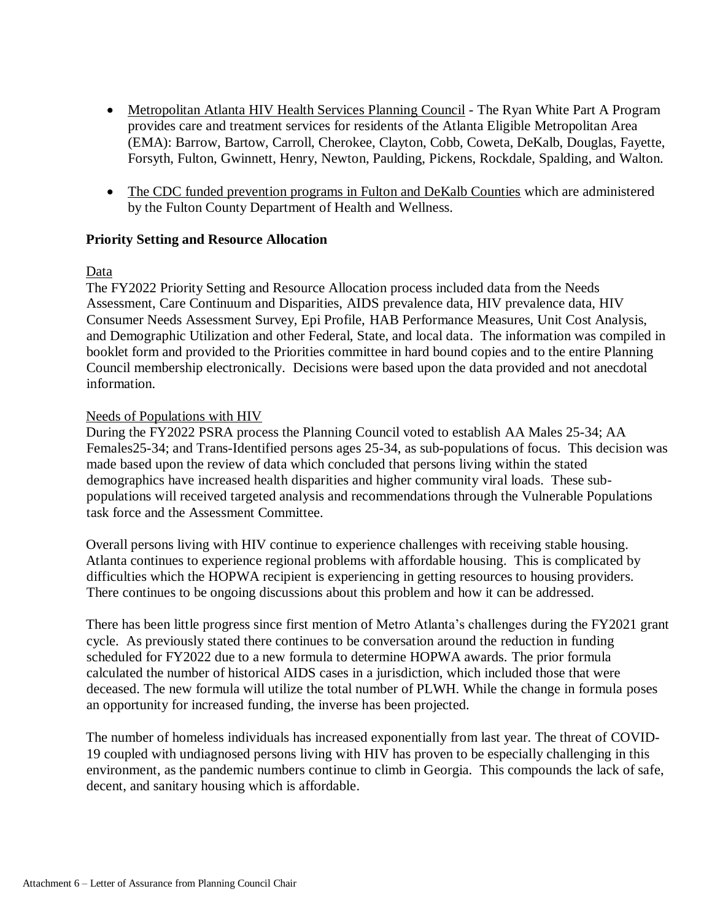- Metropolitan Atlanta HIV Health Services Planning Council The Ryan White Part A Program provides care and treatment services for residents of the Atlanta Eligible Metropolitan Area (EMA): Barrow, Bartow, Carroll, Cherokee, Clayton, Cobb, Coweta, DeKalb, Douglas, Fayette, Forsyth, Fulton, Gwinnett, Henry, Newton, Paulding, Pickens, Rockdale, Spalding, and Walton.
- The CDC funded prevention programs in Fulton and DeKalb Counties which are administered by the Fulton County Department of Health and Wellness.

#### **Priority Setting and Resource Allocation**

## Data

The FY2022 Priority Setting and Resource Allocation process included data from the Needs Assessment, Care Continuum and Disparities, AIDS prevalence data, HIV prevalence data, HIV Consumer Needs Assessment Survey, Epi Profile, HAB Performance Measures, Unit Cost Analysis, and Demographic Utilization and other Federal, State, and local data. The information was compiled in booklet form and provided to the Priorities committee in hard bound copies and to the entire Planning Council membership electronically. Decisions were based upon the data provided and not anecdotal information.

## Needs of Populations with HIV

During the FY2022 PSRA process the Planning Council voted to establish AA Males 25-34; AA Females25-34; and Trans-Identified persons ages 25-34, as sub-populations of focus. This decision was made based upon the review of data which concluded that persons living within the stated demographics have increased health disparities and higher community viral loads. These subpopulations will received targeted analysis and recommendations through the Vulnerable Populations task force and the Assessment Committee.

Overall persons living with HIV continue to experience challenges with receiving stable housing. Atlanta continues to experience regional problems with affordable housing. This is complicated by difficulties which the HOPWA recipient is experiencing in getting resources to housing providers. There continues to be ongoing discussions about this problem and how it can be addressed.

There has been little progress since first mention of Metro Atlanta's challenges during the FY2021 grant cycle. As previously stated there continues to be conversation around the reduction in funding scheduled for FY2022 due to a new formula to determine HOPWA awards. The prior formula calculated the number of historical AIDS cases in a jurisdiction, which included those that were deceased. The new formula will utilize the total number of PLWH. While the change in formula poses an opportunity for increased funding, the inverse has been projected.

The number of homeless individuals has increased exponentially from last year. The threat of COVID-19 coupled with undiagnosed persons living with HIV has proven to be especially challenging in this environment, as the pandemic numbers continue to climb in Georgia. This compounds the lack of safe, decent, and sanitary housing which is affordable.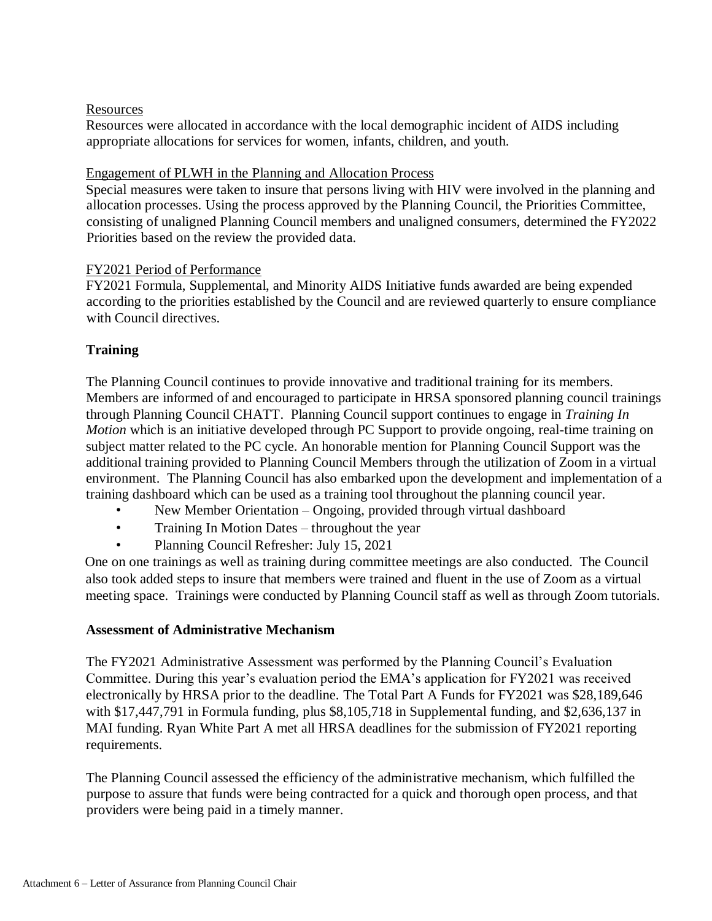## **Resources**

Resources were allocated in accordance with the local demographic incident of AIDS including appropriate allocations for services for women, infants, children, and youth.

## Engagement of PLWH in the Planning and Allocation Process

Special measures were taken to insure that persons living with HIV were involved in the planning and allocation processes. Using the process approved by the Planning Council, the Priorities Committee, consisting of unaligned Planning Council members and unaligned consumers, determined the FY2022 Priorities based on the review the provided data.

#### FY2021 Period of Performance

FY2021 Formula, Supplemental, and Minority AIDS Initiative funds awarded are being expended according to the priorities established by the Council and are reviewed quarterly to ensure compliance with Council directives.

# **Training**

The Planning Council continues to provide innovative and traditional training for its members. Members are informed of and encouraged to participate in HRSA sponsored planning council trainings through Planning Council CHATT. Planning Council support continues to engage in *Training In Motion* which is an initiative developed through PC Support to provide ongoing, real-time training on subject matter related to the PC cycle. An honorable mention for Planning Council Support was the additional training provided to Planning Council Members through the utilization of Zoom in a virtual environment. The Planning Council has also embarked upon the development and implementation of a training dashboard which can be used as a training tool throughout the planning council year.

- New Member Orientation Ongoing, provided through virtual dashboard
- Training In Motion Dates throughout the year
- Planning Council Refresher: July 15, 2021

One on one trainings as well as training during committee meetings are also conducted. The Council also took added steps to insure that members were trained and fluent in the use of Zoom as a virtual meeting space. Trainings were conducted by Planning Council staff as well as through Zoom tutorials.

## **Assessment of Administrative Mechanism**

The FY2021 Administrative Assessment was performed by the Planning Council's Evaluation Committee. During this year's evaluation period the EMA's application for FY2021 was received electronically by HRSA prior to the deadline. The Total Part A Funds for FY2021 was \$28,189,646 with \$17,447,791 in Formula funding, plus \$8,105,718 in Supplemental funding, and \$2,636,137 in MAI funding. Ryan White Part A met all HRSA deadlines for the submission of FY2021 reporting requirements.

The Planning Council assessed the efficiency of the administrative mechanism, which fulfilled the purpose to assure that funds were being contracted for a quick and thorough open process, and that providers were being paid in a timely manner.